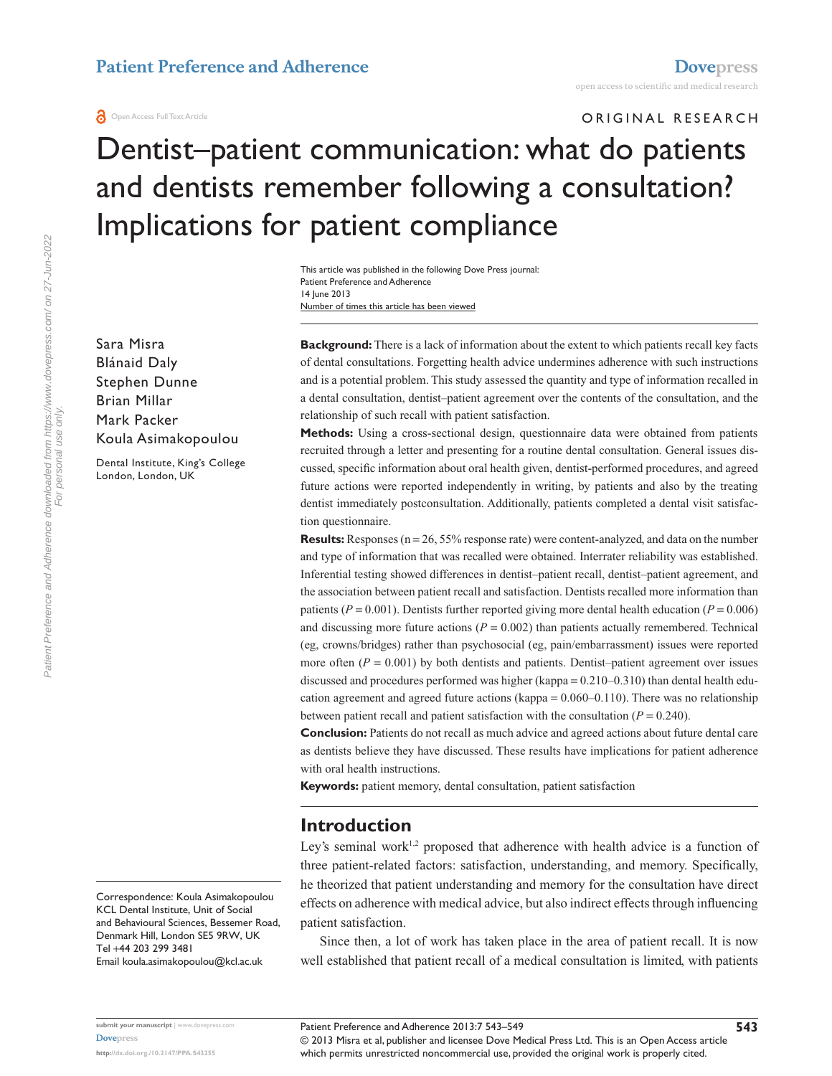ORIGINAL RESEARCH

# Dentist–patient communication: what do patients and dentists remember following a consultation? Implications for patient compliance

Number of times this article has been viewed This article was published in the following Dove Press journal: Patient Preference and Adherence 14 June 2013

**Background:** There is a lack of information about the extent to which patients recall key facts of dental consultations. Forgetting health advice undermines adherence with such instructions and is a potential problem. This study assessed the quantity and type of information recalled in a dental consultation, dentist–patient agreement over the contents of the consultation, and the relationship of such recall with patient satisfaction.

**Methods:** Using a cross-sectional design, questionnaire data were obtained from patients recruited through a letter and presenting for a routine dental consultation. General issues discussed, specific information about oral health given, dentist-performed procedures, and agreed future actions were reported independently in writing, by patients and also by the treating dentist immediately postconsultation. Additionally, patients completed a dental visit satisfaction questionnaire.

**Results:** Responses ( $n = 26, 55\%$  response rate) were content-analyzed, and data on the number and type of information that was recalled were obtained. Interrater reliability was established. Inferential testing showed differences in dentist–patient recall, dentist–patient agreement, and the association between patient recall and satisfaction. Dentists recalled more information than patients ( $P = 0.001$ ). Dentists further reported giving more dental health education ( $P = 0.006$ ) and discussing more future actions  $(P = 0.002)$  than patients actually remembered. Technical (eg, crowns/bridges) rather than psychosocial (eg, pain/embarrassment) issues were reported more often  $(P = 0.001)$  by both dentists and patients. Dentist–patient agreement over issues discussed and procedures performed was higher (kappa = 0.210–0.310) than dental health education agreement and agreed future actions (kappa  $= 0.060-0.110$ ). There was no relationship between patient recall and patient satisfaction with the consultation  $(P = 0.240)$ .

**Conclusion:** Patients do not recall as much advice and agreed actions about future dental care as dentists believe they have discussed. These results have implications for patient adherence with oral health instructions.

**Keywords:** patient memory, dental consultation, patient satisfaction

#### **Introduction**

Ley's seminal work $1,2$  proposed that adherence with health advice is a function of three patient-related factors: satisfaction, understanding, and memory. Specifically, he theorized that patient understanding and memory for the consultation have direct effects on adherence with medical advice, but also indirect effects through influencing patient satisfaction.

Since then, a lot of work has taken place in the area of patient recall. It is now well established that patient recall of a medical consultation is limited, with patients

Sara Misra Blánaid Daly Stephen Dunne Brian Millar Mark Packer Koula Asimakopoulou

Dental Institute, King's College London, London, UK

Correspondence: Koula Asimakopoulou KCL Dental Institute, Unit of Social and Behavioural Sciences, Bessemer Road, Denmark Hill, London SE5 9RW, UK Tel +44 203 299 3481 Email k[oula.asimakopoulou@kcl.ac.uk](mailto:koula.asimakopoulou@kcl.ac.uk)

© 2013 Misra et al, publisher and licensee Dove Medical Press Ltd. This is an Open Access article which permits unrestricted noncommercial use, provided the original work is properly cited.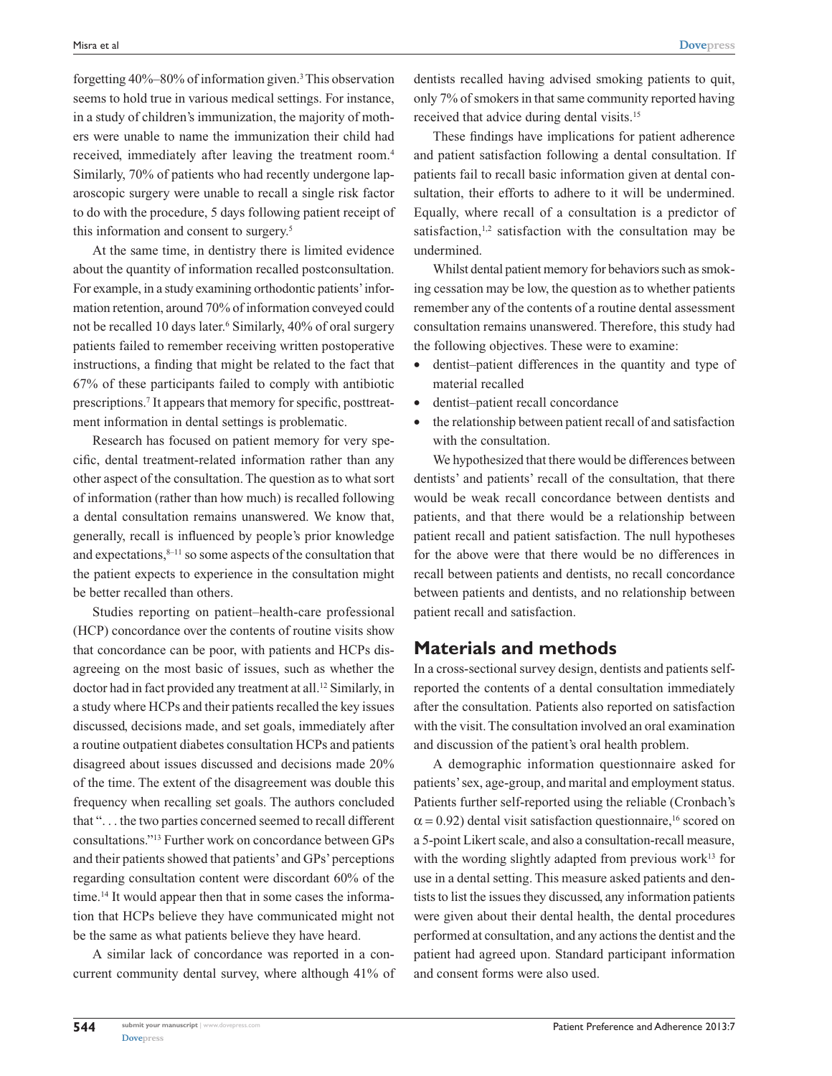forgetting 40%–80% of information given.3 This observation seems to hold true in various medical settings. For instance, in a study of children's immunization, the majority of mothers were unable to name the immunization their child had received, immediately after leaving the treatment room.4 Similarly, 70% of patients who had recently undergone laparoscopic surgery were unable to recall a single risk factor to do with the procedure, 5 days following patient receipt of this information and consent to surgery.5

At the same time, in dentistry there is limited evidence about the quantity of information recalled postconsultation. For example, in a study examining orthodontic patients' information retention, around 70% of information conveyed could not be recalled 10 days later.<sup>6</sup> Similarly, 40% of oral surgery patients failed to remember receiving written postoperative instructions, a finding that might be related to the fact that 67% of these participants failed to comply with antibiotic prescriptions.7 It appears that memory for specific, posttreatment information in dental settings is problematic.

Research has focused on patient memory for very specific, dental treatment-related information rather than any other aspect of the consultation. The question as to what sort of information (rather than how much) is recalled following a dental consultation remains unanswered. We know that, generally, recall is influenced by people's prior knowledge and expectations, $8-11$  so some aspects of the consultation that the patient expects to experience in the consultation might be better recalled than others.

Studies reporting on patient–health-care professional (HCP) concordance over the contents of routine visits show that concordance can be poor, with patients and HCPs disagreeing on the most basic of issues, such as whether the doctor had in fact provided any treatment at all.<sup>12</sup> Similarly, in a study where HCPs and their patients recalled the key issues discussed, decisions made, and set goals, immediately after a routine outpatient diabetes consultation HCPs and patients disagreed about issues discussed and decisions made 20% of the time. The extent of the disagreement was double this frequency when recalling set goals. The authors concluded that ". . . the two parties concerned seemed to recall different consultations."13 Further work on concordance between GPs and their patients showed that patients' and GPs' perceptions regarding consultation content were discordant 60% of the time.<sup>14</sup> It would appear then that in some cases the information that HCPs believe they have communicated might not be the same as what patients believe they have heard.

A similar lack of concordance was reported in a concurrent community dental survey, where although 41% of dentists recalled having advised smoking patients to quit, only 7% of smokers in that same community reported having received that advice during dental visits.<sup>15</sup>

These findings have implications for patient adherence and patient satisfaction following a dental consultation. If patients fail to recall basic information given at dental consultation, their efforts to adhere to it will be undermined. Equally, where recall of a consultation is a predictor of satisfaction,<sup>1,2</sup> satisfaction with the consultation may be undermined.

Whilst dental patient memory for behaviors such as smoking cessation may be low, the question as to whether patients remember any of the contents of a routine dental assessment consultation remains unanswered. Therefore, this study had the following objectives. These were to examine:

- • dentist–patient differences in the quantity and type of material recalled
- dentist-patient recall concordance
- the relationship between patient recall of and satisfaction with the consultation.

We hypothesized that there would be differences between dentists' and patients' recall of the consultation, that there would be weak recall concordance between dentists and patients, and that there would be a relationship between patient recall and patient satisfaction. The null hypotheses for the above were that there would be no differences in recall between patients and dentists, no recall concordance between patients and dentists, and no relationship between patient recall and satisfaction.

# **Materials and methods**

In a cross-sectional survey design, dentists and patients selfreported the contents of a dental consultation immediately after the consultation. Patients also reported on satisfaction with the visit. The consultation involved an oral examination and discussion of the patient's oral health problem.

A demographic information questionnaire asked for patients' sex, age-group, and marital and employment status. Patients further self-reported using the reliable (Cronbach's  $\alpha$  = 0.92) dental visit satisfaction questionnaire,<sup>16</sup> scored on a 5-point Likert scale, and also a consultation-recall measure, with the wording slightly adapted from previous work<sup>13</sup> for use in a dental setting. This measure asked patients and dentists to list the issues they discussed, any information patients were given about their dental health, the dental procedures performed at consultation, and any actions the dentist and the patient had agreed upon. Standard participant information and consent forms were also used.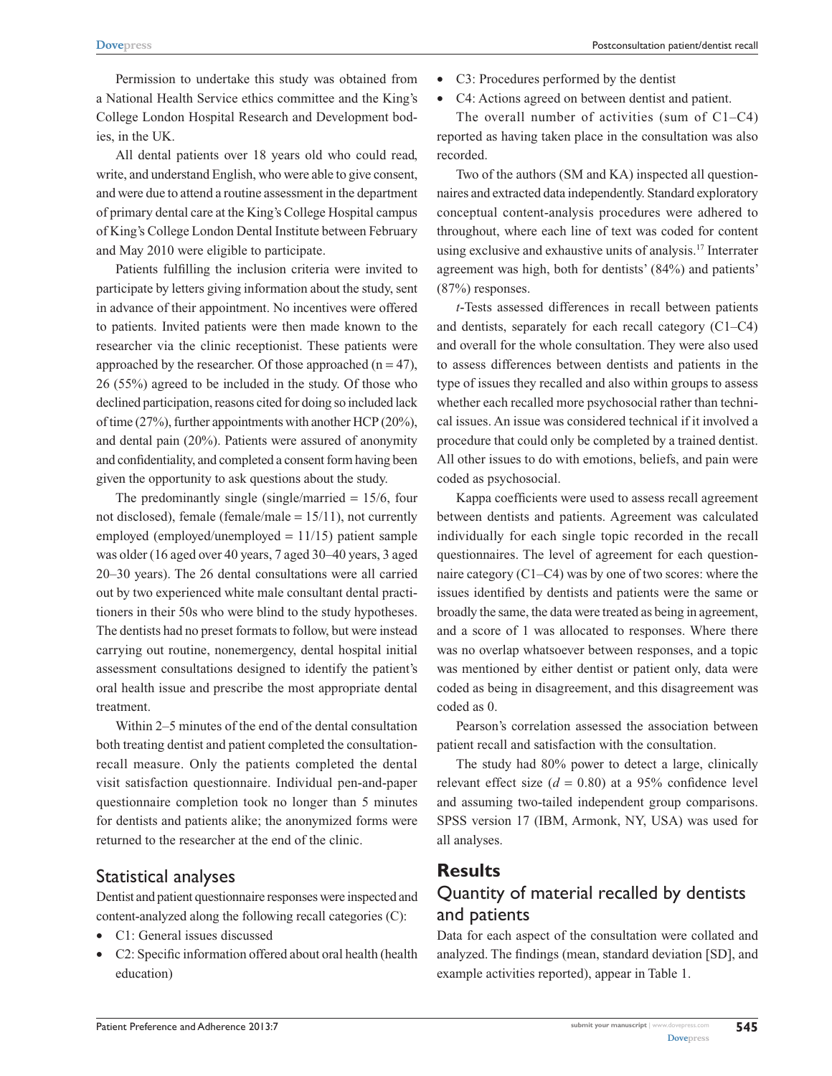Permission to undertake this study was obtained from a National Health Service ethics committee and the King's College London Hospital Research and Development bodies, in the UK.

All dental patients over 18 years old who could read, write, and understand English, who were able to give consent, and were due to attend a routine assessment in the department of primary dental care at the King's College Hospital campus of King's College London Dental Institute between February and May 2010 were eligible to participate.

Patients fulfilling the inclusion criteria were invited to participate by letters giving information about the study, sent in advance of their appointment. No incentives were offered to patients. Invited patients were then made known to the researcher via the clinic receptionist. These patients were approached by the researcher. Of those approached  $(n = 47)$ , 26 (55%) agreed to be included in the study. Of those who declined participation, reasons cited for doing so included lack of time (27%), further appointments with another HCP (20%), and dental pain (20%). Patients were assured of anonymity and confidentiality, and completed a consent form having been given the opportunity to ask questions about the study.

The predominantly single (single/married  $= 15/6$ , four not disclosed), female (female/male =  $15/11$ ), not currently employed (employed/unemployed  $= 11/15$ ) patient sample was older (16 aged over 40 years, 7 aged 30–40 years, 3 aged 20–30 years). The 26 dental consultations were all carried out by two experienced white male consultant dental practitioners in their 50s who were blind to the study hypotheses. The dentists had no preset formats to follow, but were instead carrying out routine, nonemergency, dental hospital initial assessment consultations designed to identify the patient's oral health issue and prescribe the most appropriate dental treatment.

Within 2–5 minutes of the end of the dental consultation both treating dentist and patient completed the consultationrecall measure. Only the patients completed the dental visit satisfaction questionnaire. Individual pen-and-paper questionnaire completion took no longer than 5 minutes for dentists and patients alike; the anonymized forms were returned to the researcher at the end of the clinic.

#### Statistical analyses

Dentist and patient questionnaire responses were inspected and content-analyzed along the following recall categories (C):

- C1: General issues discussed
- C2: Specific information offered about oral health (health education)
- C3: Procedures performed by the dentist
- C4: Actions agreed on between dentist and patient.

The overall number of activities (sum of C1–C4) reported as having taken place in the consultation was also recorded.

Two of the authors (SM and KA) inspected all questionnaires and extracted data independently. Standard exploratory conceptual content-analysis procedures were adhered to throughout, where each line of text was coded for content using exclusive and exhaustive units of analysis.17 Interrater agreement was high, both for dentists' (84%) and patients' (87%) responses.

*t*-Tests assessed differences in recall between patients and dentists, separately for each recall category (C1–C4) and overall for the whole consultation. They were also used to assess differences between dentists and patients in the type of issues they recalled and also within groups to assess whether each recalled more psychosocial rather than technical issues. An issue was considered technical if it involved a procedure that could only be completed by a trained dentist. All other issues to do with emotions, beliefs, and pain were coded as psychosocial.

Kappa coefficients were used to assess recall agreement between dentists and patients. Agreement was calculated individually for each single topic recorded in the recall questionnaires. The level of agreement for each questionnaire category (C1–C4) was by one of two scores: where the issues identified by dentists and patients were the same or broadly the same, the data were treated as being in agreement, and a score of 1 was allocated to responses. Where there was no overlap whatsoever between responses, and a topic was mentioned by either dentist or patient only, data were coded as being in disagreement, and this disagreement was coded as 0.

Pearson's correlation assessed the association between patient recall and satisfaction with the consultation.

The study had 80% power to detect a large, clinically relevant effect size  $(d = 0.80)$  at a 95% confidence level and assuming two-tailed independent group comparisons. SPSS version 17 (IBM, Armonk, NY, USA) was used for all analyses.

# **Results**

# Quantity of material recalled by dentists and patients

Data for each aspect of the consultation were collated and analyzed. The findings (mean, standard deviation [SD], and example activities reported), appear in Table 1.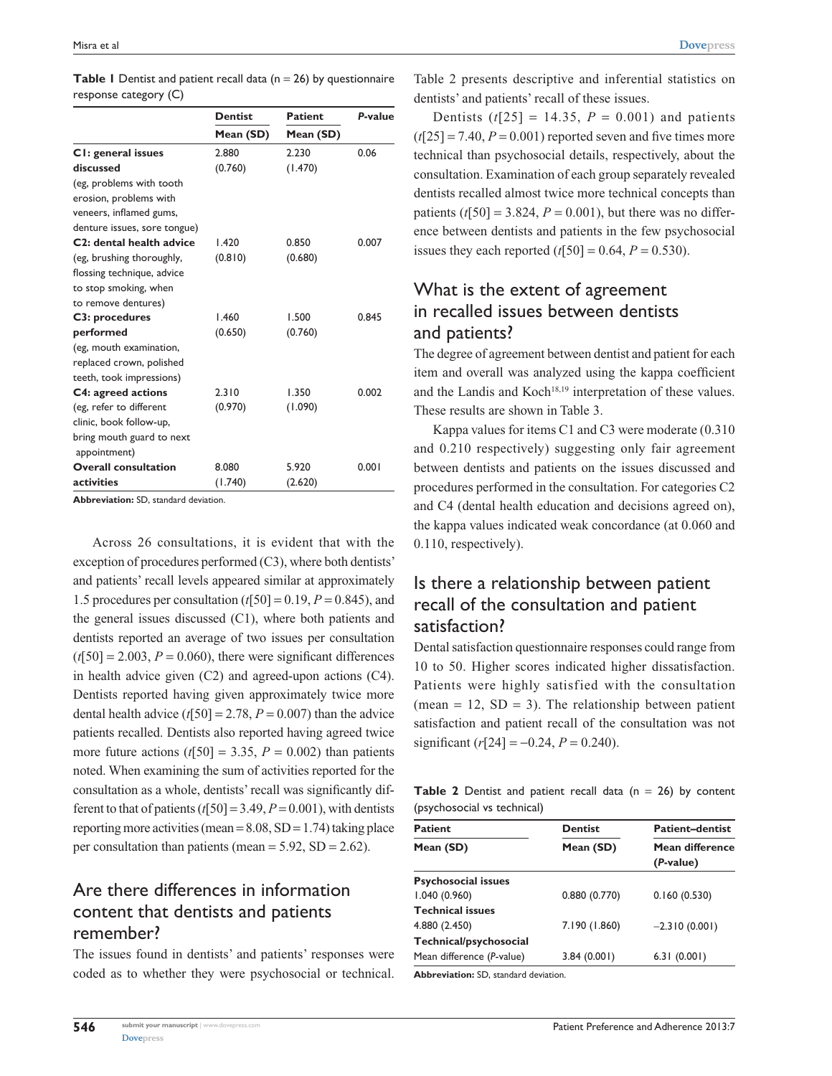|                                           | <b>Dentist</b> | <b>Patient</b> | P-value |  |
|-------------------------------------------|----------------|----------------|---------|--|
|                                           | Mean (SD)      | Mean (SD)      |         |  |
| C1: general issues                        | 2.880          | 2.230          | 0.06    |  |
| discussed                                 | (0.760)        | (1.470)        |         |  |
| (eg, problems with tooth                  |                |                |         |  |
| erosion, problems with                    |                |                |         |  |
| veneers, inflamed gums,                   |                |                |         |  |
| denture issues, sore tongue)              |                |                |         |  |
| C <sub>2</sub> : dental health advice     | 1.420          | 0.850          | 0.007   |  |
| (eg, brushing thoroughly,                 | (0.810)        | (0.680)        |         |  |
| flossing technique, advice                |                |                |         |  |
| to stop smoking, when                     |                |                |         |  |
| to remove dentures)                       |                |                |         |  |
| C3: procedures                            | 1.460          | 1.500          | 0.845   |  |
| performed                                 | (0.650)        | (0.760)        |         |  |
| (eg, mouth examination,                   |                |                |         |  |
| replaced crown, polished                  |                |                |         |  |
| teeth, took impressions)                  |                |                |         |  |
| C4: agreed actions                        | 2.310          | 1.350          | 0.002   |  |
| (eg, refer to different                   | (0.970)        | (1.090)        |         |  |
| clinic, book follow-up,                   |                |                |         |  |
| bring mouth guard to next<br>appointment) |                |                |         |  |
| <b>Overall consultation</b>               | 8.080          | 5.920          | 0.001   |  |
| activities                                | (1.740)        | (2.620)        |         |  |

**Table 1** Dentist and patient recall data  $(n = 26)$  by questionnaire response category (C)

**Abbreviation:** SD, standard deviation.

Across 26 consultations, it is evident that with the exception of procedures performed (C3), where both dentists' and patients' recall levels appeared similar at approximately 1.5 procedures per consultation (*t*[50] = 0.19, *P* = 0.845), and the general issues discussed (C1), where both patients and dentists reported an average of two issues per consultation  $(t[50] = 2.003, P = 0.060)$ , there were significant differences in health advice given (C2) and agreed-upon actions (C4). Dentists reported having given approximately twice more dental health advice  $(t[50] = 2.78, P = 0.007)$  than the advice patients recalled. Dentists also reported having agreed twice more future actions  $(t[50] = 3.35, P = 0.002)$  than patients noted. When examining the sum of activities reported for the consultation as a whole, dentists' recall was significantly different to that of patients  $(t[50] = 3.49, P = 0.001)$ , with dentists reporting more activities (mean =  $8.08$ , SD = 1.74) taking place per consultation than patients (mean  $= 5.92$ , SD  $= 2.62$ ).

# Are there differences in information content that dentists and patients remember?

The issues found in dentists' and patients' responses were coded as to whether they were psychosocial or technical. Table 2 presents descriptive and inferential statistics on dentists' and patients' recall of these issues.

Dentists  $(t[25] = 14.35, P = 0.001)$  and patients  $(t[25] = 7.40, P = 0.001)$  reported seven and five times more technical than psychosocial details, respectively, about the consultation. Examination of each group separately revealed dentists recalled almost twice more technical concepts than patients  $(t[50] = 3.824, P = 0.001)$ , but there was no difference between dentists and patients in the few psychosocial issues they each reported  $(t[50] = 0.64, P = 0.530)$ .

# What is the extent of agreement in recalled issues between dentists and patients?

The degree of agreement between dentist and patient for each item and overall was analyzed using the kappa coefficient and the Landis and Koch<sup>18,19</sup> interpretation of these values. These results are shown in Table 3.

Kappa values for items C1 and C3 were moderate (0.310 and 0.210 respectively) suggesting only fair agreement between dentists and patients on the issues discussed and procedures performed in the consultation. For categories C2 and C4 (dental health education and decisions agreed on), the kappa values indicated weak concordance (at 0.060 and 0.110, respectively).

# Is there a relationship between patient recall of the consultation and patient satisfaction?

Dental satisfaction questionnaire responses could range from 10 to 50. Higher scores indicated higher dissatisfaction. Patients were highly satisfied with the consultation (mean  $= 12$ , SD  $= 3$ ). The relationship between patient satisfaction and patient recall of the consultation was not significant  $(r[24] = -0.24, P = 0.240)$ .

|                             |  |  |  |  |  |  |  |  |  | Table 2 Dentist and patient recall data $(n = 26)$ by content |
|-----------------------------|--|--|--|--|--|--|--|--|--|---------------------------------------------------------------|
| (psychosocial vs technical) |  |  |  |  |  |  |  |  |  |                                                               |

| <b>Patient</b>             | <b>Dentist</b> | <b>Patient-dentist</b>       |  |  |
|----------------------------|----------------|------------------------------|--|--|
| Mean (SD)                  | Mean (SD)      | Mean difference<br>(P-value) |  |  |
| <b>Psychosocial issues</b> |                |                              |  |  |
| 1.040(0.960)               | 0.880(0.770)   | 0.160(0.530)                 |  |  |
| <b>Technical issues</b>    |                |                              |  |  |
| 4.880 (2.450)              | 7.190 (1.860)  | $-2.310(0.001)$              |  |  |
| Technical/psychosocial     |                |                              |  |  |
| Mean difference (P-value)  | 3.84(0.001)    | 6.31(0.001)                  |  |  |

**Abbreviation:** SD, standard deviation.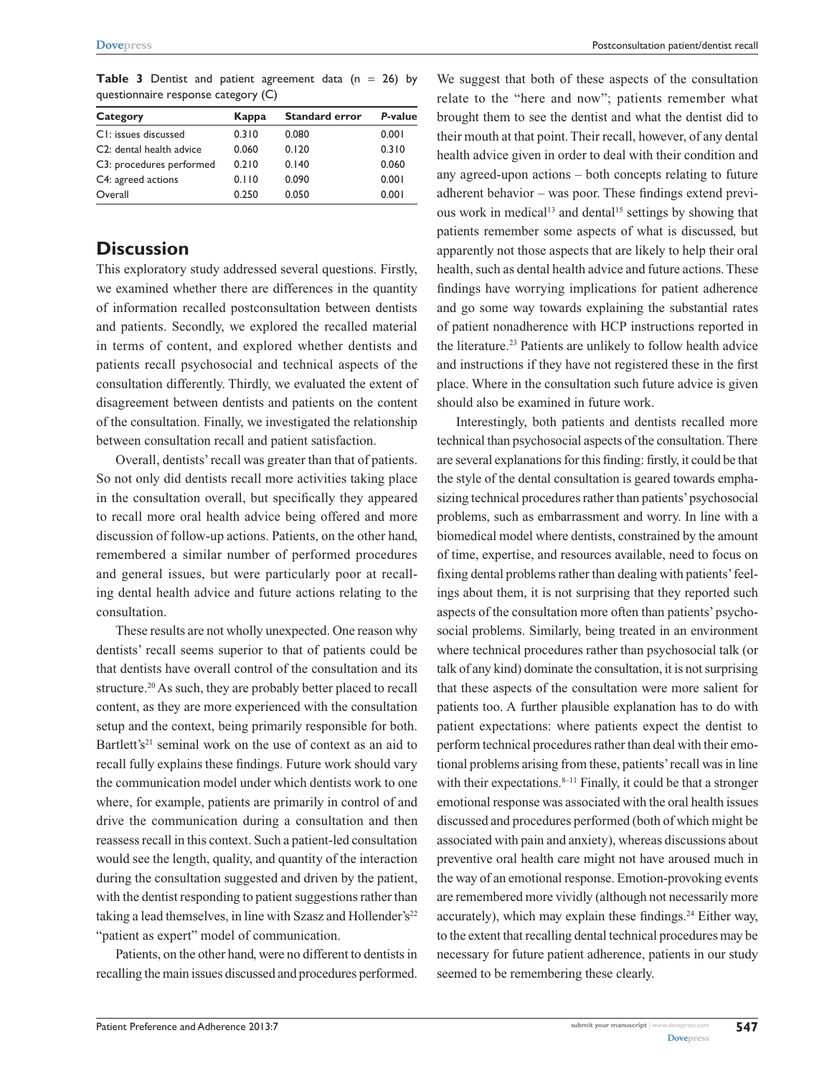**Table 3** Dentist and patient agreement data  $(n = 26)$  by questionnaire response category (C)

| Category                              | Kappa | <b>Standard error</b> | P-value |  |
|---------------------------------------|-------|-----------------------|---------|--|
| C1: issues discussed                  | 0.310 | 0.080                 | 0.001   |  |
| C <sub>2</sub> : dental health advice | 0.060 | 0.120                 | 0.310   |  |
| C3: procedures performed              | 0.210 | 0.140                 | 0.060   |  |
| C4: agreed actions                    | 0.110 | 0.090                 | 0.001   |  |
| Overall                               | 0.250 | 0.050                 | 0.001   |  |

# **Discussion**

This exploratory study addressed several questions. Firstly, we examined whether there are differences in the quantity of information recalled postconsultation between dentists and patients. Secondly, we explored the recalled material in terms of content, and explored whether dentists and patients recall psychosocial and technical aspects of the consultation differently. Thirdly, we evaluated the extent of disagreement between dentists and patients on the content of the consultation. Finally, we investigated the relationship between consultation recall and patient satisfaction.

Overall, dentists' recall was greater than that of patients. So not only did dentists recall more activities taking place in the consultation overall, but specifically they appeared to recall more oral health advice being offered and more discussion of follow-up actions. Patients, on the other hand, remembered a similar number of performed procedures and general issues, but were particularly poor at recalling dental health advice and future actions relating to the consultation.

These results are not wholly unexpected. One reason why dentists' recall seems superior to that of patients could be that dentists have overall control of the consultation and its structure.20 As such, they are probably better placed to recall content, as they are more experienced with the consultation setup and the context, being primarily responsible for both. Bartlett's<sup>21</sup> seminal work on the use of context as an aid to recall fully explains these findings. Future work should vary the communication model under which dentists work to one where, for example, patients are primarily in control of and drive the communication during a consultation and then reassess recall in this context. Such a patient-led consultation would see the length, quality, and quantity of the interaction during the consultation suggested and driven by the patient, with the dentist responding to patient suggestions rather than taking a lead themselves, in line with Szasz and Hollender's<sup>22</sup> "patient as expert" model of communication.

Patients, on the other hand, were no different to dentists in recalling the main issues discussed and procedures performed.

We suggest that both of these aspects of the consultation relate to the "here and now"; patients remember what brought them to see the dentist and what the dentist did to their mouth at that point. Their recall, however, of any dental health advice given in order to deal with their condition and any agreed-upon actions – both concepts relating to future adherent behavior – was poor. These findings extend previous work in medical<sup>13</sup> and dental<sup>15</sup> settings by showing that patients remember some aspects of what is discussed, but apparently not those aspects that are likely to help their oral health, such as dental health advice and future actions. These findings have worrying implications for patient adherence and go some way towards explaining the substantial rates of patient nonadherence with HCP instructions reported in the literature.23 Patients are unlikely to follow health advice and instructions if they have not registered these in the first place. Where in the consultation such future advice is given should also be examined in future work.

Interestingly, both patients and dentists recalled more technical than psychosocial aspects of the consultation. There are several explanations for this finding: firstly, it could be that the style of the dental consultation is geared towards emphasizing technical procedures rather than patients' psychosocial problems, such as embarrassment and worry. In line with a biomedical model where dentists, constrained by the amount of time, expertise, and resources available, need to focus on fixing dental problems rather than dealing with patients' feelings about them, it is not surprising that they reported such aspects of the consultation more often than patients' psychosocial problems. Similarly, being treated in an environment where technical procedures rather than psychosocial talk (or talk of any kind) dominate the consultation, it is not surprising that these aspects of the consultation were more salient for patients too. A further plausible explanation has to do with patient expectations: where patients expect the dentist to perform technical procedures rather than deal with their emotional problems arising from these, patients' recall was in line with their expectations.<sup>8-11</sup> Finally, it could be that a stronger emotional response was associated with the oral health issues discussed and procedures performed (both of which might be associated with pain and anxiety), whereas discussions about preventive oral health care might not have aroused much in the way of an emotional response. Emotion-provoking events are remembered more vividly (although not necessarily more accurately), which may explain these findings.<sup>24</sup> Either way, to the extent that recalling dental technical procedures may be necessary for future patient adherence, patients in our study seemed to be remembering these clearly.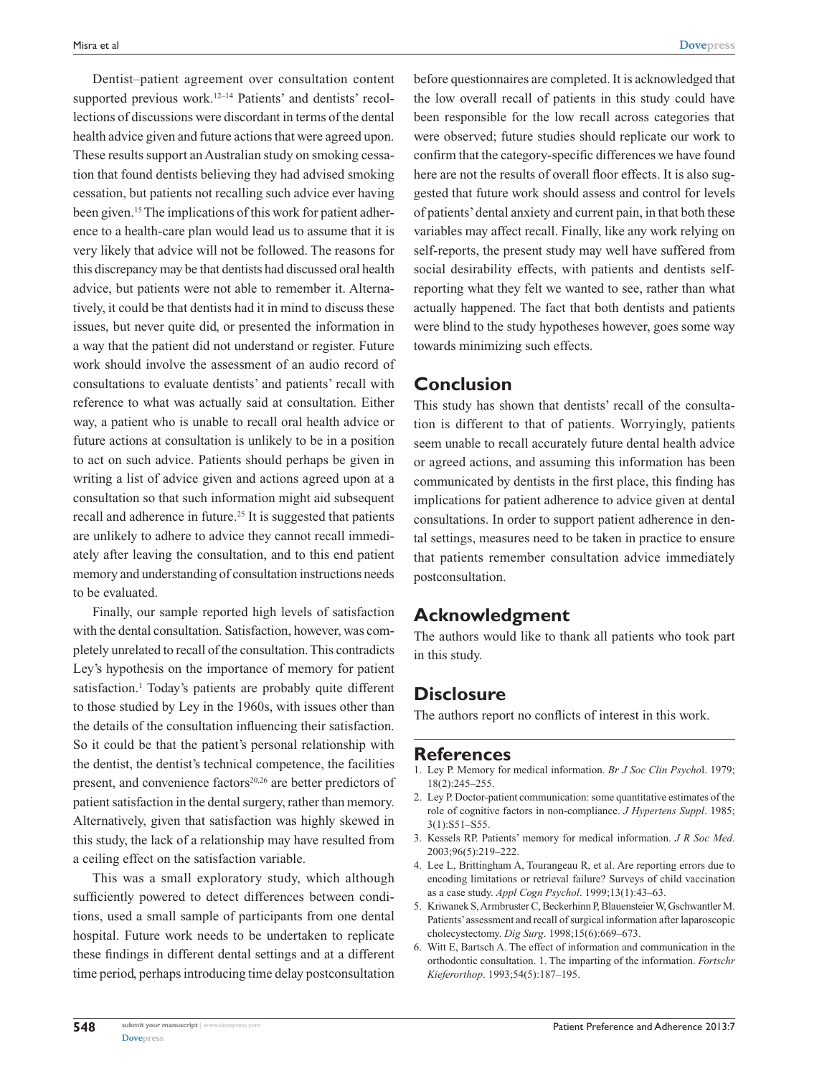**[Dovepress](www.dovepress.com)**

Dentist–patient agreement over consultation content supported previous work.<sup>12–14</sup> Patients' and dentists' recollections of discussions were discordant in terms of the dental health advice given and future actions that were agreed upon. These results support an Australian study on smoking cessation that found dentists believing they had advised smoking cessation, but patients not recalling such advice ever having been given.<sup>15</sup> The implications of this work for patient adherence to a health-care plan would lead us to assume that it is very likely that advice will not be followed. The reasons for this discrepancy may be that dentists had discussed oral health advice, but patients were not able to remember it. Alternatively, it could be that dentists had it in mind to discuss these issues, but never quite did, or presented the information in a way that the patient did not understand or register. Future work should involve the assessment of an audio record of consultations to evaluate dentists' and patients' recall with reference to what was actually said at consultation. Either way, a patient who is unable to recall oral health advice or future actions at consultation is unlikely to be in a position to act on such advice. Patients should perhaps be given in writing a list of advice given and actions agreed upon at a consultation so that such information might aid subsequent recall and adherence in future.<sup>25</sup> It is suggested that patients are unlikely to adhere to advice they cannot recall immediately after leaving the consultation, and to this end patient memory and understanding of consultation instructions needs to be evaluated.

Finally, our sample reported high levels of satisfaction with the dental consultation. Satisfaction, however, was completely unrelated to recall of the consultation. This contradicts Ley's hypothesis on the importance of memory for patient satisfaction.<sup>1</sup> Today's patients are probably quite different to those studied by Ley in the 1960s, with issues other than the details of the consultation influencing their satisfaction. So it could be that the patient's personal relationship with the dentist, the dentist's technical competence, the facilities present, and convenience factors<sup>20,26</sup> are better predictors of patient satisfaction in the dental surgery, rather than memory. Alternatively, given that satisfaction was highly skewed in this study, the lack of a relationship may have resulted from a ceiling effect on the satisfaction variable.

This was a small exploratory study, which although sufficiently powered to detect differences between conditions, used a small sample of participants from one dental hospital. Future work needs to be undertaken to replicate these findings in different dental settings and at a different time period, perhaps introducing time delay postconsultation before questionnaires are completed. It is acknowledged that the low overall recall of patients in this study could have been responsible for the low recall across categories that were observed; future studies should replicate our work to confirm that the category-specific differences we have found here are not the results of overall floor effects. It is also suggested that future work should assess and control for levels of patients' dental anxiety and current pain, in that both these variables may affect recall. Finally, like any work relying on self-reports, the present study may well have suffered from social desirability effects, with patients and dentists selfreporting what they felt we wanted to see, rather than what actually happened. The fact that both dentists and patients were blind to the study hypotheses however, goes some way towards minimizing such effects.

#### **Conclusion**

This study has shown that dentists' recall of the consultation is different to that of patients. Worryingly, patients seem unable to recall accurately future dental health advice or agreed actions, and assuming this information has been communicated by dentists in the first place, this finding has implications for patient adherence to advice given at dental consultations. In order to support patient adherence in dental settings, measures need to be taken in practice to ensure that patients remember consultation advice immediately postconsultation.

# **Acknowledgment**

The authors would like to thank all patients who took part in this study.

# **Disclosure**

The authors report no conflicts of interest in this work.

#### **References**

- 1. Ley P. Memory for medical information. *Br J Soc Clin Psycho*l. 1979; 18(2):245–255.
- 2. Ley P. Doctor-patient communication: some quantitative estimates of the role of cognitive factors in non-compliance. *J Hypertens Suppl*. 1985; 3(1):S51–S55.
- 3. Kessels RP. Patients' memory for medical information. *J R Soc Med*. 2003;96(5):219–222.
- 4. Lee L, Brittingham A, Tourangeau R, et al. Are reporting errors due to encoding limitations or retrieval failure? Surveys of child vaccination as a case study. *Appl Cogn Psychol*. 1999;13(1):43–63.
- 5. Kriwanek S, Armbruster C, Beckerhinn P, Blauensteier W, Gschwantler M. Patients' assessment and recall of surgical information after laparoscopic cholecystectomy. *Dig Surg*. 1998;15(6):669–673.
- 6. Witt E, Bartsch A. The effect of information and communication in the orthodontic consultation. 1. The imparting of the information. *Fortschr Kieferorthop*. 1993;54(5):187–195.